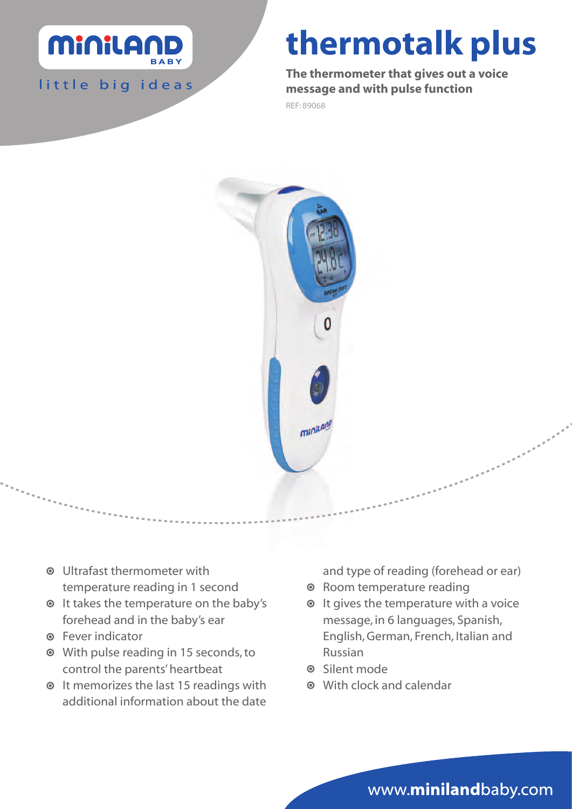

little big ideas

# thermotalk plus

The thermometer that gives out a voice message and with pulse function

REF: 89068



- Ultrafast thermometer with temperature reading in 1 second
- $\odot$  It takes the temperature on the baby's forehead and in the baby's ear
- Fever indicator
- With pulse reading in 15 seconds, to control the parents' heartbeat
- $\odot$  It memorizes the last 15 readings with additional information about the date

and type of reading (forehead or ear)

- Room temperature reading
- $\odot$  It gives the temperature with a voice message, in 6 languages, Spanish, English, German, French, Italian and Russian
- **O** Silent mode
- With clock and calendar

www.minilandbaby.com